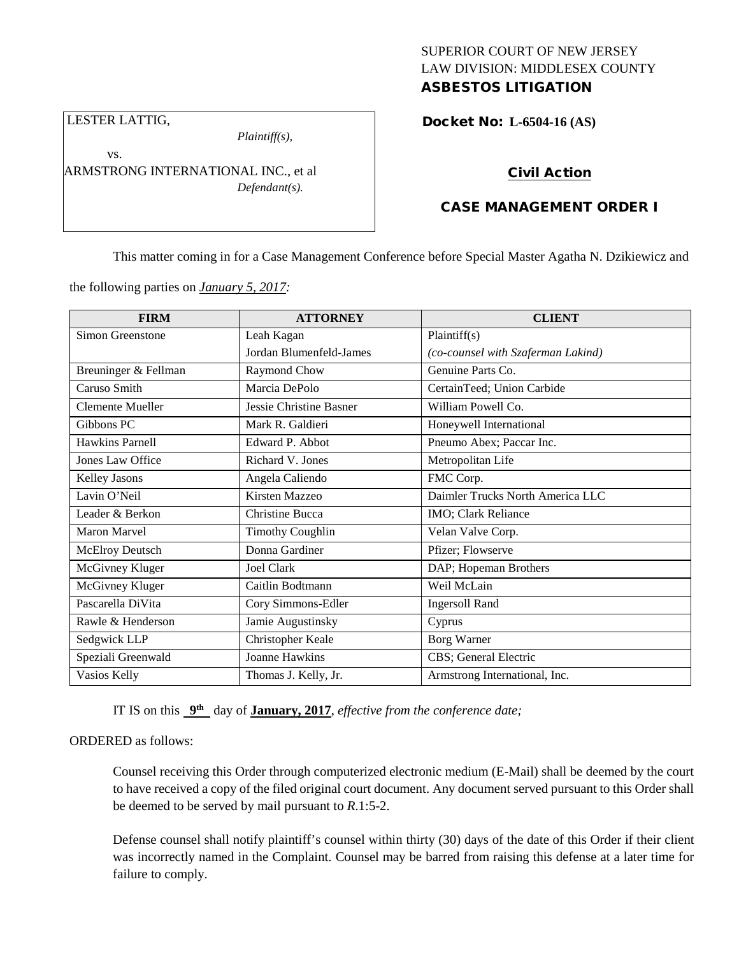## SUPERIOR COURT OF NEW JERSEY LAW DIVISION: MIDDLESEX COUNTY ASBESTOS LITIGATION

Docket No: **L-6504-16 (AS)** 

LESTER LATTIG,

vs.

*Plaintiff(s),*

ARMSTRONG INTERNATIONAL INC., et al *Defendant(s).*

# Civil Action

# CASE MANAGEMENT ORDER I

This matter coming in for a Case Management Conference before Special Master Agatha N. Dzikiewicz and

the following parties on *January 5, 2017:*

| <b>FIRM</b>             | <b>ATTORNEY</b>                | <b>CLIENT</b>                      |
|-------------------------|--------------------------------|------------------------------------|
| Simon Greenstone        | Leah Kagan                     | Plaintiff(s)                       |
|                         | Jordan Blumenfeld-James        | (co-counsel with Szaferman Lakind) |
| Breuninger & Fellman    | Raymond Chow                   | Genuine Parts Co.                  |
| Caruso Smith            | Marcia DePolo                  | CertainTeed; Union Carbide         |
| <b>Clemente Mueller</b> | <b>Jessie Christine Basner</b> | William Powell Co.                 |
| Gibbons PC              | Mark R. Galdieri               | Honeywell International            |
| Hawkins Parnell         | Edward P. Abbot                | Pneumo Abex; Paccar Inc.           |
| Jones Law Office        | Richard V. Jones               | Metropolitan Life                  |
| <b>Kelley Jasons</b>    | Angela Caliendo                | FMC Corp.                          |
| Lavin O'Neil            | Kirsten Mazzeo                 | Daimler Trucks North America LLC   |
| Leader & Berkon         | <b>Christine Bucca</b>         | IMO; Clark Reliance                |
| Maron Marvel            | <b>Timothy Coughlin</b>        | Velan Valve Corp.                  |
| <b>McElroy Deutsch</b>  | Donna Gardiner                 | Pfizer; Flowserve                  |
| McGivney Kluger         | Joel Clark                     | DAP; Hopeman Brothers              |
| McGivney Kluger         | Caitlin Bodtmann               | Weil McLain                        |
| Pascarella DiVita       | Cory Simmons-Edler             | <b>Ingersoll Rand</b>              |
| Rawle & Henderson       | Jamie Augustinsky              | Cyprus                             |
| Sedgwick LLP            | Christopher Keale              | Borg Warner                        |
| Speziali Greenwald      | <b>Joanne Hawkins</b>          | CBS; General Electric              |
| Vasios Kelly            | Thomas J. Kelly, Jr.           | Armstrong International, Inc.      |

IT IS on this **9th** day of **January, 2017**, *effective from the conference date;*

## ORDERED as follows:

Counsel receiving this Order through computerized electronic medium (E-Mail) shall be deemed by the court to have received a copy of the filed original court document. Any document served pursuant to this Order shall be deemed to be served by mail pursuant to *R*.1:5-2.

Defense counsel shall notify plaintiff's counsel within thirty (30) days of the date of this Order if their client was incorrectly named in the Complaint. Counsel may be barred from raising this defense at a later time for failure to comply.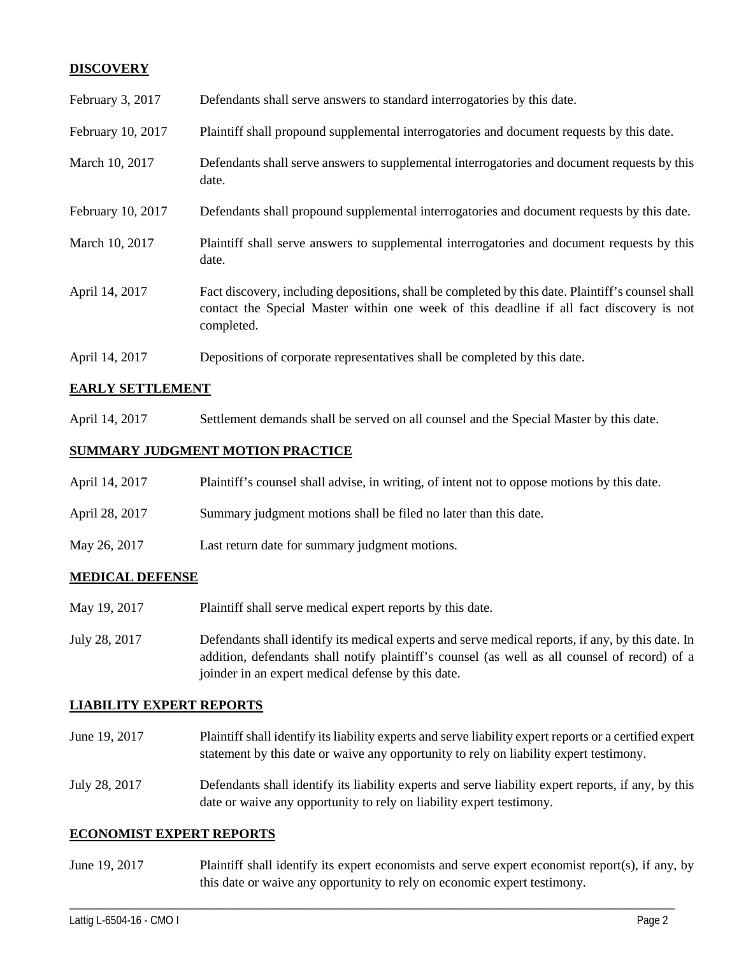## **DISCOVERY**

| February 3, 2017  | Defendants shall serve answers to standard interrogatories by this date.                                                                                                                                    |
|-------------------|-------------------------------------------------------------------------------------------------------------------------------------------------------------------------------------------------------------|
| February 10, 2017 | Plaintiff shall propound supplemental interrogatories and document requests by this date.                                                                                                                   |
| March 10, 2017    | Defendants shall serve answers to supplemental interrogatories and document requests by this<br>date.                                                                                                       |
| February 10, 2017 | Defendants shall propound supplemental interrogatories and document requests by this date.                                                                                                                  |
| March 10, 2017    | Plaintiff shall serve answers to supplemental interrogatories and document requests by this<br>date.                                                                                                        |
| April 14, 2017    | Fact discovery, including depositions, shall be completed by this date. Plaintiff's counsel shall<br>contact the Special Master within one week of this deadline if all fact discovery is not<br>completed. |
| April 14, 2017    | Depositions of corporate representatives shall be completed by this date.                                                                                                                                   |

## **EARLY SETTLEMENT**

April 14, 2017 Settlement demands shall be served on all counsel and the Special Master by this date.

## **SUMMARY JUDGMENT MOTION PRACTICE**

| April 14, 2017 | Plaintiff's counsel shall advise, in writing, of intent not to oppose motions by this date. |
|----------------|---------------------------------------------------------------------------------------------|
| April 28, 2017 | Summary judgment motions shall be filed no later than this date.                            |
| May 26, 2017   | Last return date for summary judgment motions.                                              |

## **MEDICAL DEFENSE**

- May 19, 2017 Plaintiff shall serve medical expert reports by this date.
- July 28, 2017 Defendants shall identify its medical experts and serve medical reports, if any, by this date. In addition, defendants shall notify plaintiff's counsel (as well as all counsel of record) of a joinder in an expert medical defense by this date.

### **LIABILITY EXPERT REPORTS**

June 19, 2017 Plaintiff shall identify its liability experts and serve liability expert reports or a certified expert statement by this date or waive any opportunity to rely on liability expert testimony. July 28, 2017 Defendants shall identify its liability experts and serve liability expert reports, if any, by this date or waive any opportunity to rely on liability expert testimony.

### **ECONOMIST EXPERT REPORTS**

June 19, 2017 Plaintiff shall identify its expert economists and serve expert economist report(s), if any, by this date or waive any opportunity to rely on economic expert testimony.

\_\_\_\_\_\_\_\_\_\_\_\_\_\_\_\_\_\_\_\_\_\_\_\_\_\_\_\_\_\_\_\_\_\_\_\_\_\_\_\_\_\_\_\_\_\_\_\_\_\_\_\_\_\_\_\_\_\_\_\_\_\_\_\_\_\_\_\_\_\_\_\_\_\_\_\_\_\_\_\_\_\_\_\_\_\_\_\_\_\_\_\_\_\_\_\_\_\_\_\_\_\_\_\_\_\_\_\_\_\_